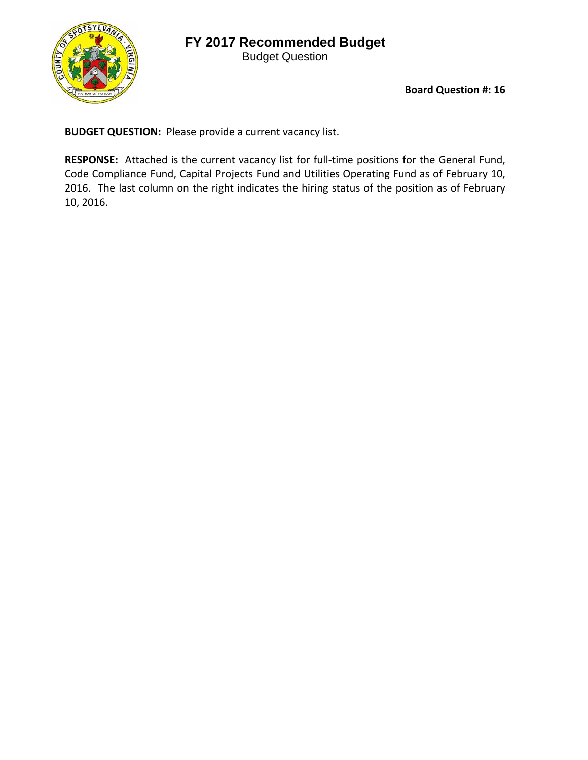## **FY 2017 Recommended Budget**



Budget Question

**Board Question #: 16**

**BUDGET QUESTION:** Please provide a current vacancy list.

RESPONSE: Attached is the current vacancy list for full-time positions for the General Fund, Code Compliance Fund, Capital Projects Fund and Utilities Operating Fund as of February 10, 2016. The last column on the right indicates the hiring status of the position as of February 10, 2016.